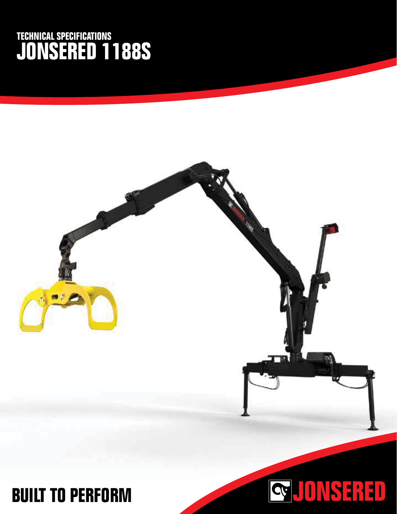## **TECHNICAL SPECIFICATIONS JONSERED 1188S**



## **BUILT TO PERFORM**